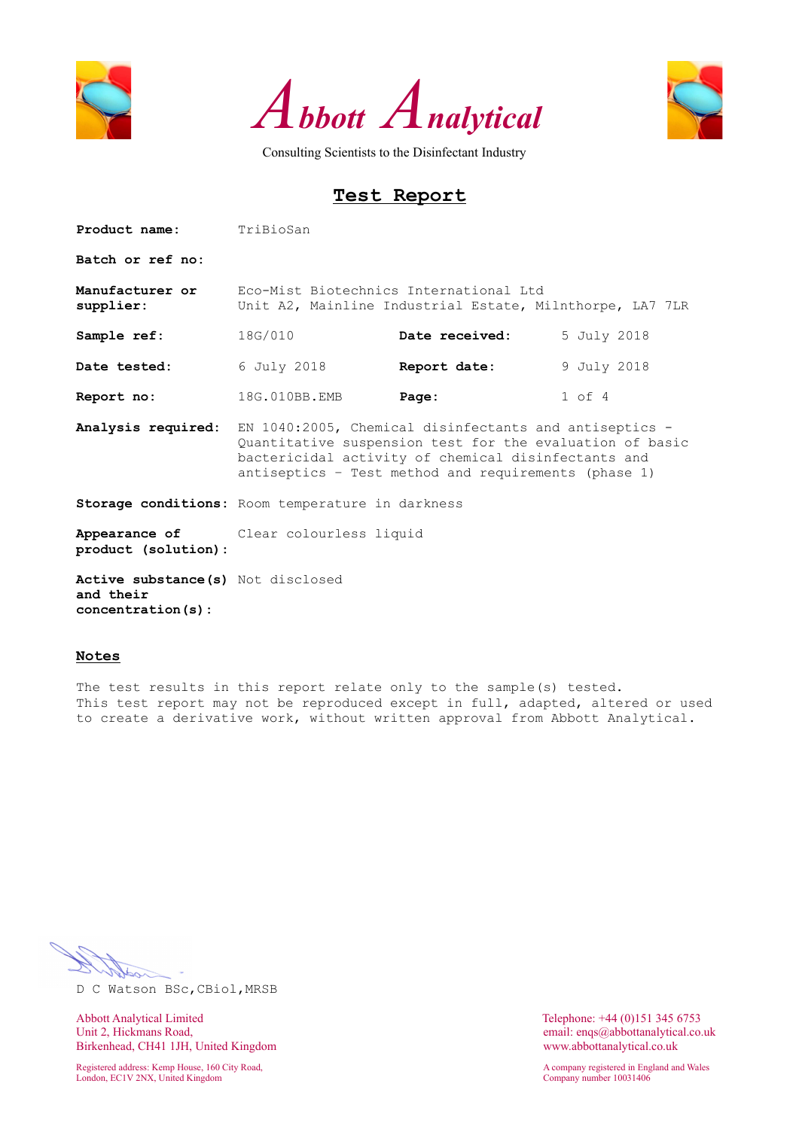





# **Test Report**

| Product name:                      | TriBioSan                                                                                                                                                                                                                         |                                                                                                    |             |  |  |  |  |  |  |
|------------------------------------|-----------------------------------------------------------------------------------------------------------------------------------------------------------------------------------------------------------------------------------|----------------------------------------------------------------------------------------------------|-------------|--|--|--|--|--|--|
| Batch or ref no:                   |                                                                                                                                                                                                                                   |                                                                                                    |             |  |  |  |  |  |  |
| Manufacturer or<br>supplier:       |                                                                                                                                                                                                                                   | Eco-Mist Biotechnics International Ltd<br>Unit A2, Mainline Industrial Estate, Milnthorpe, LA7 7LR |             |  |  |  |  |  |  |
| Sample ref:                        | 18G/010                                                                                                                                                                                                                           | Date received:                                                                                     | 5 July 2018 |  |  |  |  |  |  |
| Date tested:                       | 6 July 2018                                                                                                                                                                                                                       | Report date:                                                                                       | 9 July 2018 |  |  |  |  |  |  |
| Report no:                         | 18G.010BB.EMB                                                                                                                                                                                                                     | Page:                                                                                              | $1$ of $4$  |  |  |  |  |  |  |
| Analysis required:                 | EN 1040:2005, Chemical disinfectants and antiseptics -<br>Quantitative suspension test for the evaluation of basic<br>bactericidal activity of chemical disinfectants and<br>antiseptics - Test method and requirements (phase 1) |                                                                                                    |             |  |  |  |  |  |  |
|                                    | Storage conditions: Room temperature in darkness                                                                                                                                                                                  |                                                                                                    |             |  |  |  |  |  |  |
| product (solution):                | <b>Appearance of</b> Clear colourless liquid                                                                                                                                                                                      |                                                                                                    |             |  |  |  |  |  |  |
| Active substance (s) Not disclosed |                                                                                                                                                                                                                                   |                                                                                                    |             |  |  |  |  |  |  |

**and their concentration(s):**

# **Notes**

The test results in this report relate only to the sample(s) tested. This test report may not be reproduced except in full, adapted, altered or used to create a derivative work, without written approval from Abbott Analytical.

D C Watson BSc,CBiol,MRSB

Abbott Analytical Limited<br>
Unit 2, Hickmans Road,<br>
Unit 2, Hickmans Road,<br>
Conservative analytical conservative analytical conservative analytical conservative analytical conservative analytical conservative analytical con Birkenhead, CH41 1JH, United Kingdom www.abbottanalytical.co.uk

Registered address: Kemp House, 160 City Road, A company registered in England and Wales London, EC1V 2NX, United Kingdom Company number 10031406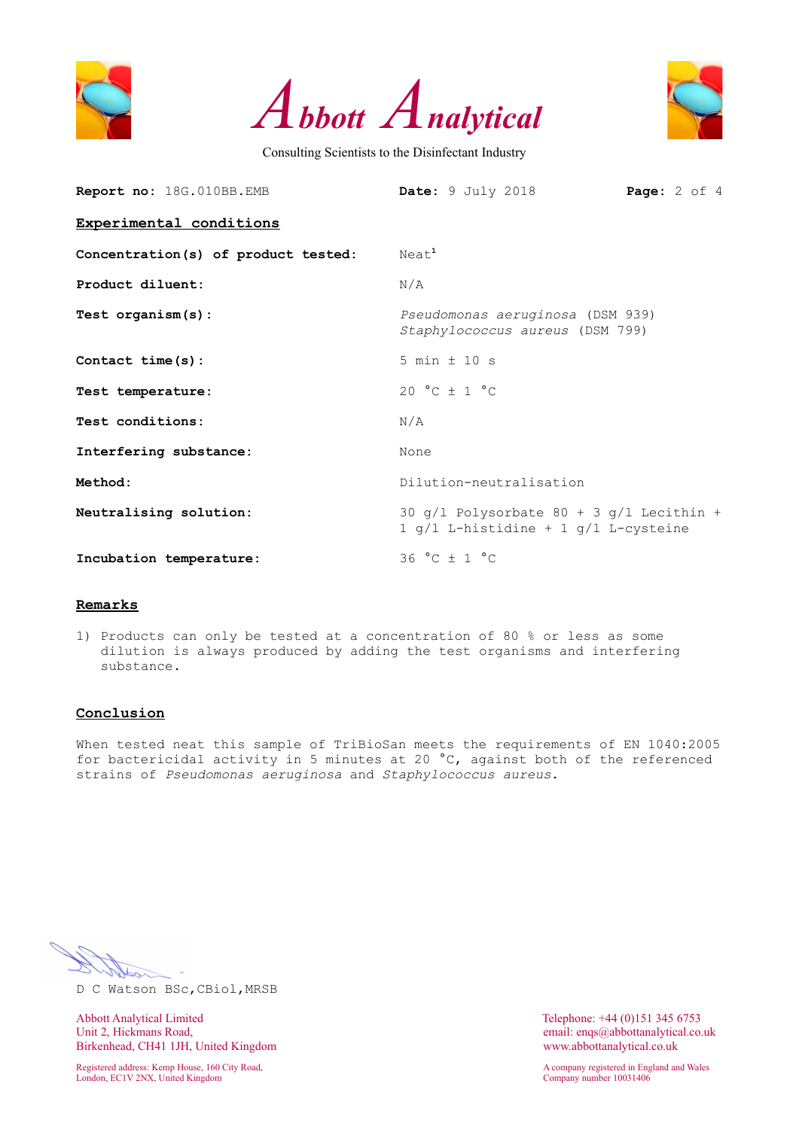





| Report no: 18G.010BB.EMB            | Date: 9 July 2018<br><b>Page:</b> $2$ of $4$                                             |
|-------------------------------------|------------------------------------------------------------------------------------------|
| Experimental conditions             |                                                                                          |
| Concentration(s) of product tested: | Neat <sup>1</sup>                                                                        |
| Product diluent:                    | N/A                                                                                      |
| Test $organism(s)$ :                | Pseudomonas aeruginosa (DSM 939)<br>Staphylococcus aureus (DSM 799)                      |
| Contact $time(s)$ :                 | $5 min \pm 10 s$                                                                         |
| Test temperature:                   | 20 °C $\pm$ 1 °C                                                                         |
| Test conditions:                    | N/A                                                                                      |
| Interfering substance:              | None                                                                                     |
| Method:                             | Dilution-neutralisation                                                                  |
| Neutralising solution:              | 30 $q/l$ Polysorbate 80 + 3 $q/l$ Lecithin +<br>1 $q/l$ L-histidine + 1 $q/l$ L-cysteine |
| Incubation temperature:             | $36 °C \pm 1 °C$                                                                         |

#### **Remarks**

1) Products can only be tested at a concentration of 80 % or less as some dilution is always produced by adding the test organisms and interfering substance.

# **Conclusion**

When tested neat this sample of TriBioSan meets the requirements of EN 1040:2005 for bactericidal activity in 5 minutes at 20 °C, against both of the referenced strains of *Pseudomonas aeruginosa* and *Staphylococcus aureus*.

D C Watson BSc,CBiol,MRSB

Abbott Analytical Limited Telephone: +44 (0)151 345 6753<br>
Unit 2, Hickmans Road, email: engs@abbottanalytical.co. Birkenhead, CH41 1JH, United Kingdom www.abbottanalytical.co.uk

Registered address: Kemp House, 160 City Road, A company registered in England and Wales London, EC1V 2NX, United Kingdom Company number 10031406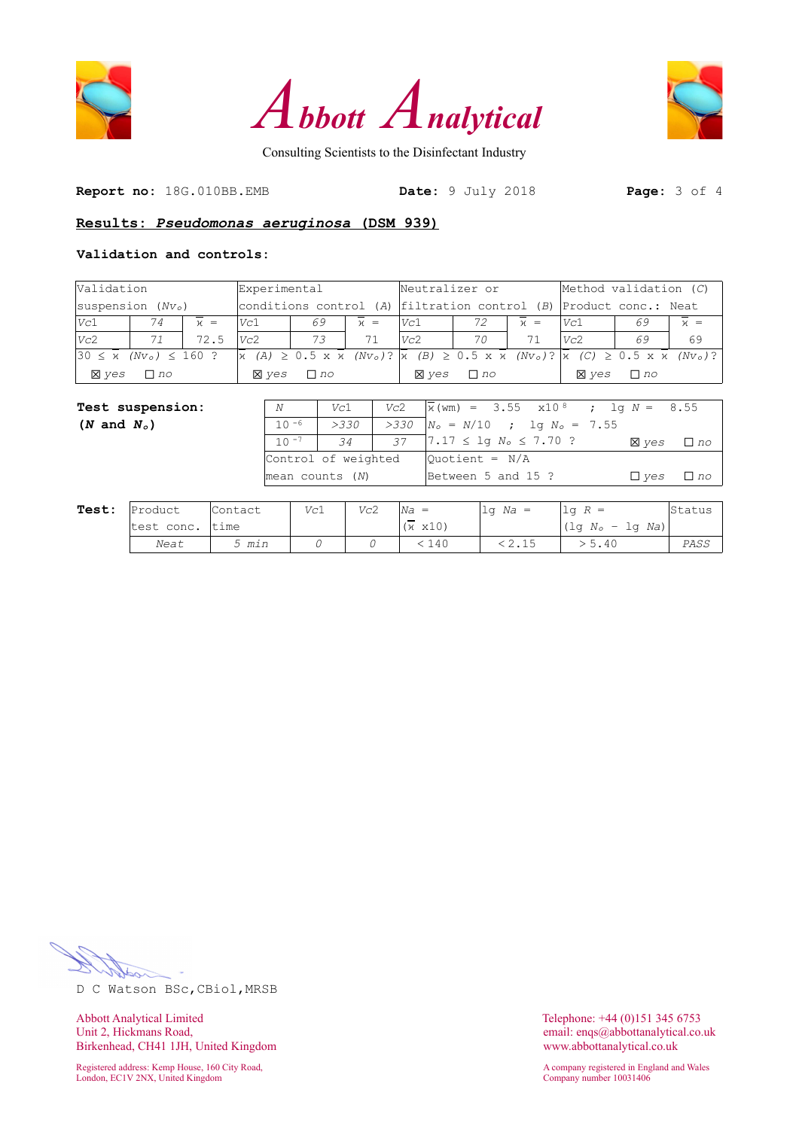





**Report no:** 18G.010BB.EMB **Date:** 9 July 2018 **Page:** 3 of 4

# **Results:** *Pseudomonas aeruginosa* **(DSM 939)**

## **Validation and controls:**

|                                                       | Validation<br>Experimental  |       |              |                                                                                                                                                                                                          | Neutralizer or                                                      |              |           | Method validation $(C)$ |              |           |       |
|-------------------------------------------------------|-----------------------------|-------|--------------|----------------------------------------------------------------------------------------------------------------------------------------------------------------------------------------------------------|---------------------------------------------------------------------|--------------|-----------|-------------------------|--------------|-----------|-------|
|                                                       | $ {\rm suspension~}(Nv_0) $ |       |              |                                                                                                                                                                                                          | conditions control (A)  filtration control (B)  Product conc.: Neat |              |           |                         |              |           |       |
| Vc1                                                   | 74                          | $x =$ | Vc1          | 69                                                                                                                                                                                                       | $\nu =$                                                             | Vc1          | 72        | $\nu =$                 | Vc1          | 69        | $x =$ |
| Vc2                                                   |                             | 72.5  | Vc2          | 73                                                                                                                                                                                                       | 71                                                                  | Vc2          | 70        |                         | Vc2          | 69        | 69    |
| $ 30 \le \overline{x}$ (Nv <sub>o</sub> ) $\le 160$ ? |                             |       |              | $\overline{x}$ (A) $\geq$ 0.5 x $\overline{x}$ (Nv <sub>o</sub> )? $\overline{x}$ (B) $\geq$ 0.5 x $\overline{x}$ (Nv <sub>o</sub> )? $\overline{x}$ (C) $\geq$ 0.5 x $\overline{x}$ (Nv <sub>o</sub> )? |                                                                     |              |           |                         |              |           |       |
| <b>X</b> ves                                          | $\Box$ no                   |       | <b>X</b> ves | $\Box$ no                                                                                                                                                                                                |                                                                     | <b>X</b> ves | $\Box$ no |                         | <b>X</b> ves | $\Box$ no |       |

| <b>Test suspension:</b> | N                   | Vc1             | Vc2 | $\vert x (wm) = 3.55 \times 10^{8}$ ; lg N = 8.55 |              |           |
|-------------------------|---------------------|-----------------|-----|---------------------------------------------------|--------------|-----------|
| $(N \text{ and } N_o)$  | $10 - 6$            | >330            |     | $>330$ $N_o = N/10$ ; lg $N_o = 7.55$             |              |           |
|                         | $10 - 7$            | $\overline{34}$ |     | 37   7.17 $\leq$ 1q $N_o \leq$ 7.70 ?             | <b>X</b> ves | $\Box$ no |
|                         | Control of weighted |                 |     | $\vert$ Ouotient = N/A                            |              |           |
|                         | $mean$ counts $(N)$ |                 |     | Between 5 and 15 ?                                | $\Box$ ves   | $\Box$ no |
|                         |                     |                 |     |                                                   |              |           |

| Test: | Product    | 'Contact | Vc1 | Vc2 | $Na =$          | $1\alpha$ Na = | $\log R =$                             | IStatus |
|-------|------------|----------|-----|-----|-----------------|----------------|----------------------------------------|---------|
|       | test conc. | Itime    |     |     | $(x \times 10)$ |                | $\left( \ln N_{o} - \ln N_{a} \right)$ |         |
|       | Neat       | 5 min    |     |     | . 140           | 2.15           | > 5.40                                 | PASS    |

D C Watson BSc,CBiol,MRSB

Abbott Analytical Limited<br>
Unit 2, Hickmans Road,<br>
Unit 2, Hickmans Road,<br>
Conservation of the Maria Conservation of the Maria Conservation of the Maria Conservation of the Maria Conservation of the Maria Conservation of t Birkenhead, CH41 1JH, United Kingdom www.abbottanalytical.co.uk

Registered address: Kemp House, 160 City Road, and Males and Males and Males and Males and Males and Wales and Wales and Wales and Wales and Wales and Wales and Wales and Wales and Wales and Wales and Wales and Wales and M London, EC1V 2NX, United Kingdom Company number 10031406